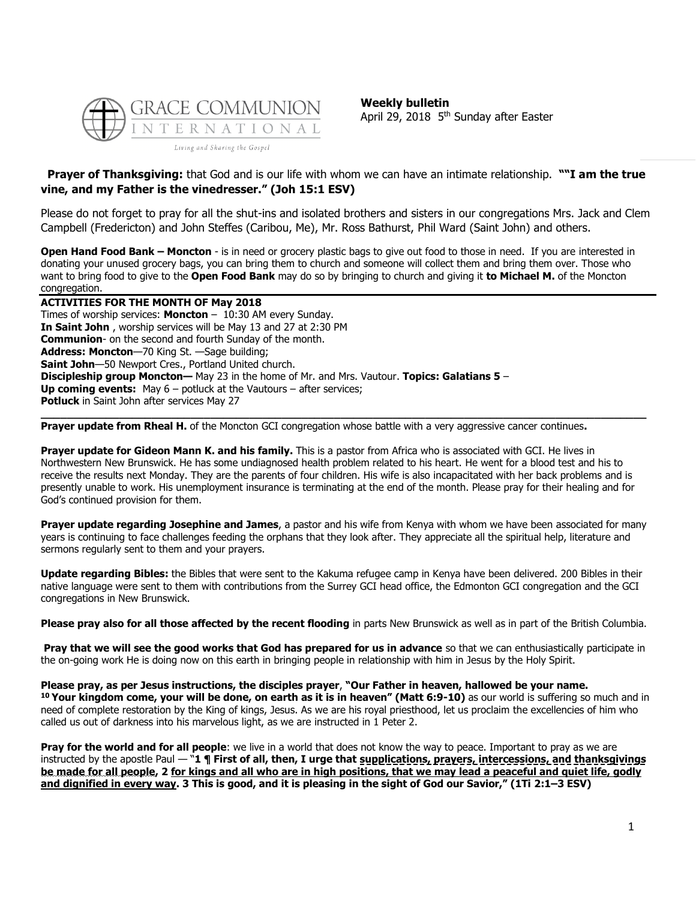

**Weekly bulletin** April 29, 2018 5<sup>th</sup> Sunday after Easter

## **Prayer of Thanksgiving:** that God and is our life with whom we can have an intimate relationship. **""I am the true vine, and my Father is the vinedresser." (Joh 15:1 ESV)**

Please do not forget to pray for all the shut-ins and isolated brothers and sisters in our congregations Mrs. Jack and Clem Campbell (Fredericton) and John Steffes (Caribou, Me), Mr. Ross Bathurst, Phil Ward (Saint John) and others.

**Open Hand Food Bank – Moncton** - is in need or grocery plastic bags to give out food to those in need. If you are interested in donating your unused grocery bags, you can bring them to church and someone will collect them and bring them over. Those who want to bring food to give to the **Open Food Bank** may do so by bringing to church and giving it **to Michael M.** of the Moncton congregation.

**ACTIVITIES FOR THE MONTH OF May 2018** Times of worship services: **Moncton** – 10:30 AM every Sunday. **In Saint John** , worship services will be May 13 and 27 at 2:30 PM **Communion**- on the second and fourth Sunday of the month. **Address: Moncton**—70 King St. —Sage building; **Saint John**—50 Newport Cres., Portland United church. **Discipleship group Moncton—** May 23 in the home of Mr. and Mrs. Vautour. **Topics: Galatians 5** – **Up coming events:** May 6 – potluck at the Vautours – after services; **Potluck** in Saint John after services May 27 **\_\_\_\_\_\_\_\_\_\_\_\_\_\_\_\_\_\_\_\_\_\_\_\_\_\_\_\_\_\_\_\_\_\_\_\_\_\_\_\_\_\_\_\_\_\_\_\_\_\_\_\_\_\_\_\_\_\_\_\_\_\_\_\_\_\_\_\_\_\_\_\_\_\_\_\_\_\_\_\_\_\_\_\_\_\_\_\_\_\_\_\_\_**

**Prayer update from Rheal H.** of the Moncton GCI congregation whose battle with a very aggressive cancer continues**.**

**Prayer update for Gideon Mann K. and his family.** This is a pastor from Africa who is associated with GCI. He lives in Northwestern New Brunswick. He has some undiagnosed health problem related to his heart. He went for a blood test and his to receive the results next Monday. They are the parents of four children. His wife is also incapacitated with her back problems and is presently unable to work. His unemployment insurance is terminating at the end of the month. Please pray for their healing and for God's continued provision for them.

**Prayer update regarding Josephine and James**, a pastor and his wife from Kenya with whom we have been associated for many years is continuing to face challenges feeding the orphans that they look after. They appreciate all the spiritual help, literature and sermons regularly sent to them and your prayers.

**Update regarding Bibles:** the Bibles that were sent to the Kakuma refugee camp in Kenya have been delivered. 200 Bibles in their native language were sent to them with contributions from the Surrey GCI head office, the Edmonton GCI congregation and the GCI congregations in New Brunswick.

**Please pray also for all those affected by the recent flooding** in parts New Brunswick as well as in part of the British Columbia.

**Pray that we will see the good works that God has prepared for us in advance** so that we can enthusiastically participate in the on-going work He is doing now on this earth in bringing people in relationship with him in Jesus by the Holy Spirit.

**Please pray, as per Jesus instructions, the disciples prayer**, **"Our Father in heaven, hallowed be your name. <sup>10</sup> Your kingdom come, your will be done, on earth as it is in heaven" (Matt 6:9-10)** as our world is suffering so much and in need of complete restoration by the King of kings, Jesus. As we are his royal priesthood, let us proclaim the excellencies of him who called us out of darkness into his marvelous light, as we are instructed in 1 Peter 2.

**Pray for the world and for all people**: we live in a world that does not know the way to peace. Important to pray as we are instructed by the apostle Paul — "**1 ¶ First of all, then, I urge that supplications, prayers, intercessions, and thanksgivings be made for all people, 2 for kings and all who are in high positions, that we may lead a peaceful and quiet life, godly and dignified in every way. 3 This is good, and it is pleasing in the sight of God our Savior," (1Ti 2:1–3 ESV)**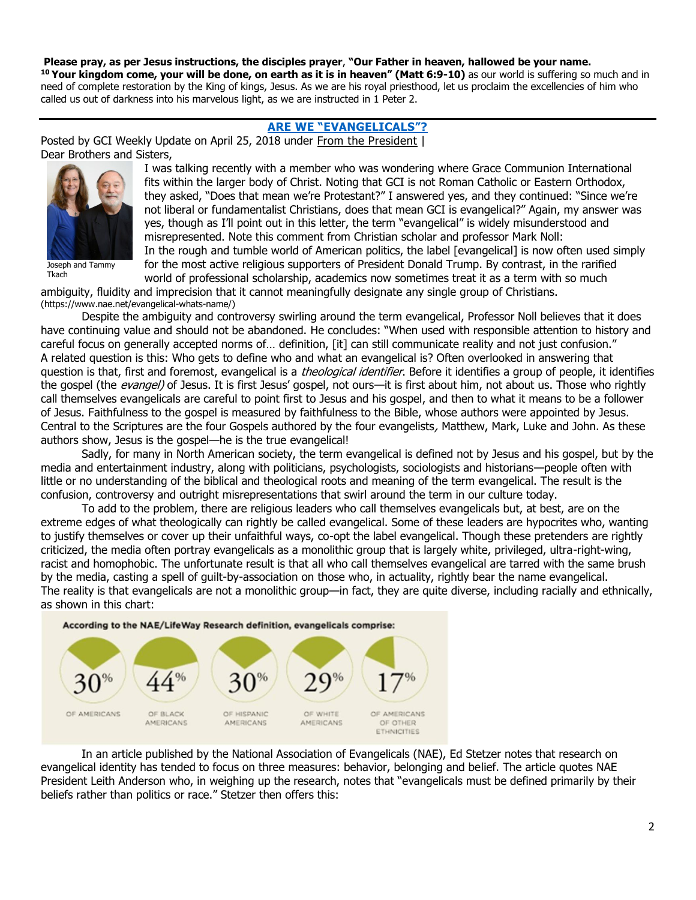**Please pray, as per Jesus instructions, the disciples prayer**, **"Our Father in heaven, hallowed be your name. <sup>10</sup> Your kingdom come, your will be done, on earth as it is in heaven" (Matt 6:9-10)** as our world is suffering so much and in need of complete restoration by the King of kings, Jesus. As we are his royal priesthood, let us proclaim the excellencies of him who called us out of darkness into his marvelous light, as we are instructed in 1 Peter 2.

## **[ARE WE "EVANGELICALS"?](https://update.gci.org/2018/04/are-we-evangelicals/)**

Posted by GCI Weekly Update on April 25, 2018 under [From the President](https://update.gci.org/category/president/) | Dear Brothers and Sisters,



Joseph and Tammy Tkach

I was talking recently with a member who was wondering where Grace Communion International fits within the larger body of Christ. Noting that GCI is not Roman Catholic or Eastern Orthodox, they asked, "Does that mean we're Protestant?" I answered yes, and they continued: "Since we're not liberal or fundamentalist Christians, does that mean GCI is evangelical?" Again, my answer was yes, though as I'll point out in this letter, the term "evangelical" is widely misunderstood and misrepresented. Note this comment from Christian scholar and professor Mark Noll: In the rough and tumble world of American politics, the label [evangelical] is now often used simply for the most active religious supporters of President Donald Trump. By contrast, in the rarified

world of professional scholarship, academics now sometimes treat it as a term with so much ambiguity, fluidity and imprecision that it cannot meaningfully designate any single group of Christians.

(https://www.nae.net/evangelical-whats-name/)

Despite the ambiguity and controversy swirling around the term evangelical, Professor Noll believes that it does have continuing value and should not be abandoned. He concludes: "When used with responsible attention to history and careful focus on generally accepted norms of… definition, [it] can still communicate reality and not just confusion." A related question is this: Who gets to define who and what an evangelical is? Often overlooked in answering that question is that, first and foremost, evangelical is a *theological identifier*. Before it identifies a group of people, it identifies the gospel (the *evangel)* of Jesus. It is first Jesus' gospel, not ours—it is first about him, not about us. Those who rightly call themselves evangelicals are careful to point first to Jesus and his gospel, and then to what it means to be a follower of Jesus. Faithfulness to the gospel is measured by faithfulness to the Bible, whose authors were appointed by Jesus. Central to the Scriptures are the four Gospels authored by the four evangelists, Matthew, Mark, Luke and John. As these authors show, Jesus is the gospel—he is the true evangelical!

Sadly, for many in North American society, the term evangelical is defined not by Jesus and his gospel, but by the media and entertainment industry, along with politicians, psychologists, sociologists and historians—people often with little or no understanding of the biblical and theological roots and meaning of the term evangelical. The result is the confusion, controversy and outright misrepresentations that swirl around the term in our culture today.

To add to the problem, there are religious leaders who call themselves evangelicals but, at best, are on the extreme edges of what theologically can rightly be called evangelical. Some of these leaders are hypocrites who, wanting to justify themselves or cover up their unfaithful ways, co-opt the label evangelical. Though these pretenders are rightly criticized, the media often portray evangelicals as a monolithic group that is largely white, privileged, ultra-right-wing, racist and homophobic. The unfortunate result is that all who call themselves evangelical are tarred with the same brush by the media, casting a spell of guilt-by-association on those who, in actuality, rightly bear the name evangelical. The reality is that evangelicals are not a monolithic group—in fact, they are quite diverse, including racially and ethnically, as shown in this chart:



In an article published by the National Association of Evangelicals (NAE), Ed Stetzer notes that research on evangelical identity has tended to focus on three measures: behavior, belonging and belief. The article quotes NAE President Leith Anderson who, in weighing up the research, notes that "evangelicals must be defined primarily by their beliefs rather than politics or race." Stetzer then offers this: